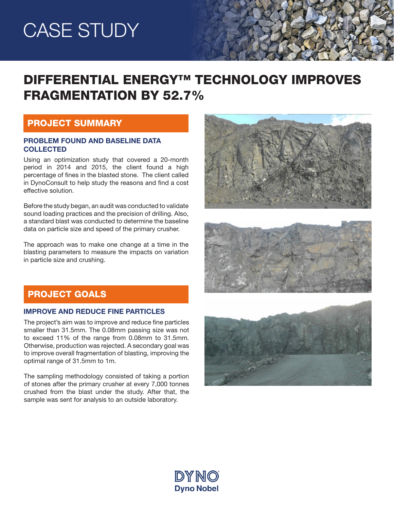## CASE STUDY

## DIFFERENTIAL ENERGY™ TECHNOLOGY IMPROVES FRAGMENTATION BY 52.7%

### PROJECT SUMMARY

### PROBLEM FOUND AND BASELINE DATA **COLLECTED**

Using an optimization study that covered a 20-month period in 2014 and 2015, the client found a high percentage of fines in the blasted stone. The client called in DynoConsult to help study the reasons and find a cost effective solution.

Before the study began, an audit was conducted to validate sound loading practices and the precision of drilling. Also, a standard blast was conducted to determine the baseline data on particle size and speed of the primary crusher.

The approach was to make one change at a time in the blasting parameters to measure the impacts on variation in particle size and crushing.





### PROJECT GOALS

#### IMPROVE AND REDUCE FINE PARTICLES

The project's aim was to improve and reduce fine particles smaller than 31.5mm. The 0.08mm passing size was not to exceed 11% of the range from 0.08mm to 31.5mm. Otherwise, production was rejected. A secondary goal was to improve overall fragmentation of blasting, improving the optimal range of 31.5mm to 1m.

The sampling methodology consisted of taking a portion of stones after the primary crusher at every 7,000 tonnes crushed from the blast under the study. After that, the sample was sent for analysis to an outside laboratory.



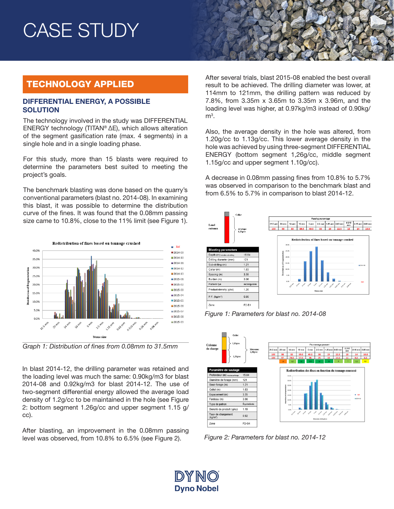## CASE STUDY

## TECHNOLOGY APPLIED

#### DIFFERENTIAL ENERGY, A POSSIBLE **SOLUTION**

The technology involved in the study was DIFFERENTIAL ENERGY technology (TITAN® ∆E), which allows alteration of the segment gasification rate (max. 4 segments) in a single hole and in a single loading phase.

For this study, more than 15 blasts were required to determine the parameters best suited to meeting the project's goals.

The benchmark blasting was done based on the quarry's conventional parameters (blast no. 2014-08). In examining this blast, it was possible to determine the distribution curve of the fines. It was found that the 0.08mm passing size came to 10.8%, close to the 11% limit (see Figure 1).



*Graph 1: Distribution of fines from 0.08mm to 31.5mm*

In blast 2014-12, the drilling parameter was retained and the loading level was much the same: 0.90kg/m3 for blast 2014-08 and 0.92kg/m3 for blast 2014-12. The use of two-segment differential energy allowed the average load density of 1.2g/cc to be maintained in the hole (see Figure 2: bottom segment 1.26g/cc and upper segment 1.15 g/ cc).

After blasting, an improvement in the 0.08mm passing level was observed, from 10.8% to 6.5% (see Figure 2).

After several trials, blast 2015-08 enabled the best overall result to be achieved. The drilling diameter was lower, at 114mm to 121mm, the drilling pattern was reduced by 7.8%, from 3.35m x 3.65m to 3.35m x 3.96m, and the loading level was higher, at 0.97kg/m3 instead of 0.90kg/  $\mathsf{m}^3.$ 

Also, the average density in the hole was altered, from 1.20g/cc to 1.13g/cc. This lower average density in the hole was achieved by using three-segment DIFFERENTIAL ENERGY (bottom segment 1,26g/cc, middle segment 1.15g/cc and upper segment 1.10g/cc).

A decrease in 0.08mm passing fines from 10.8% to 5.7% was observed in comparison to the benchmark blast and from 6.5% to 5.7% in comparison to blast 2014-12.



*Figure 1: Parameters for blast no. 2014-08*



*Figure 2: Parameters for blast no. 2014-12*